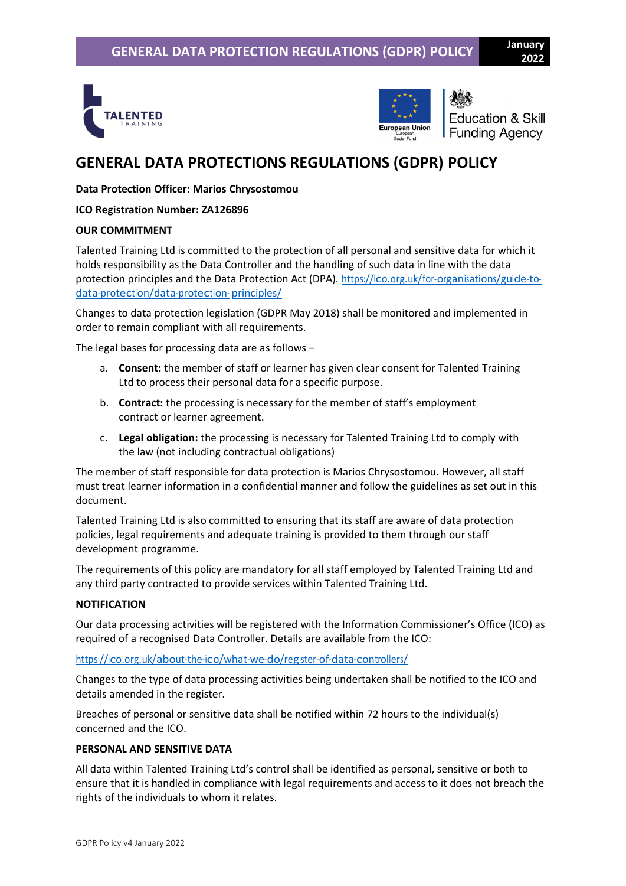



**Education & Skill Funding Agency** 

# **GENERAL DATA PROTECTIONS REGULATIONS (GDPR) POLICY**

### **Data Protection Officer: Marios Chrysostomou**

#### **ICO Registration Number: ZA126896**

#### **OUR COMMITMENT**

Talented Training Ltd is committed to the protection of all personal and sensitive data for which it holds responsibility as the Data Controller and the handling of such data in line with the data protection principles and the Data Protection Act (DPA). [https://ico.org.uk/for-organisations/guide-to](https://ico.org.uk/for-organisations/guide-to-data-protection/data-protection-principles/)[data-protection/data-protection-](https://ico.org.uk/for-organisations/guide-to-data-protection/data-protection-principles/) [principles/](https://ico.org.uk/for-organisations/guide-to-data-protection/data-protection-principles/)

Changes to data protection legislation (GDPR May 2018) shall be monitored and implemented in order to remain compliant with all requirements.

The legal bases for processing data are as follows –

- a. **Consent:** the member of staff or learner has given clear consent for Talented Training Ltd to process their personal data for a specific purpose.
- b. **Contract:** the processing is necessary for the member of staff's employment contract or learner agreement.
- c. **Legal obligation:** the processing is necessary for Talented Training Ltd to comply with the law (not including contractual obligations)

The member of staff responsible for data protection is Marios Chrysostomou. However, all staff must treat learner information in a confidential manner and follow the guidelines as set out in this document.

Talented Training Ltd is also committed to ensuring that its staff are aware of data protection policies, legal requirements and adequate training is provided to them through our staff development programme.

The requirements of this policy are mandatory for all staff employed by Talented Training Ltd and any third party contracted to provide services within Talented Training Ltd.

#### **NOTIFICATION**

Our data processing activities will be registered with the Information Commissioner's Office (ICO) as required of a recognised Data Controller. Details are available from the ICO:

<https://ico.org.uk/about-the-ico/what-we-do/register-of-data-controllers/>

Changes to the type of data processing activities being undertaken shall be notified to the ICO and details amended in the register.

Breaches of personal or sensitive data shall be notified within 72 hours to the individual(s) concerned and the ICO.

#### **PERSONAL AND SENSITIVE DATA**

All data within Talented Training Ltd's control shall be identified as personal, sensitive or both to ensure that it is handled in compliance with legal requirements and access to it does not breach the rights of the individuals to whom it relates.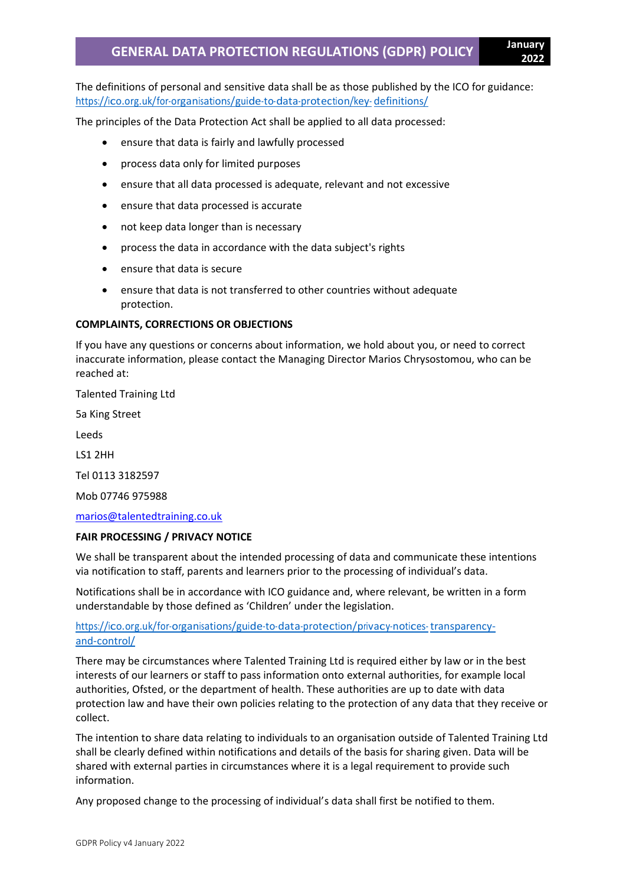The definitions of personal and sensitive data shall be as those published by the ICO for guidance: [https://ico.org.uk/for-organisations/guide-to-data-protection/key-](https://ico.org.uk/for-organisations/guide-to-data-protection/key-definitions/) [definitions/](https://ico.org.uk/for-organisations/guide-to-data-protection/key-definitions/)

The principles of the Data Protection Act shall be applied to all data processed:

- ensure that data is fairly and lawfully processed
- process data only for limited purposes
- ensure that all data processed is adequate, relevant and not excessive
- ensure that data processed is accurate
- not keep data longer than is necessary
- process the data in accordance with the data subject's rights
- ensure that data is secure
- ensure that data is not transferred to other countries without adequate protection.

#### **COMPLAINTS, CORRECTIONS OR OBJECTIONS**

If you have any questions or concerns about information, we hold about you, or need to correct inaccurate information, please contact the Managing Director Marios Chrysostomou, who can be reached at:

Talented Training Ltd

5a King Street

Leeds

LS1 2HH

Tel 0113 3182597

Mob 07746 975988

[marios@talentedtraining.co.uk](mailto:marios@talentedtraining.co.uk)

#### **FAIR PROCESSING / PRIVACY NOTICE**

We shall be transparent about the intended processing of data and communicate these intentions via notification to staff, parents and learners prior to the processing of individual's data.

Notifications shall be in accordance with ICO guidance and, where relevant, be written in a form understandable by those defined as 'Children' under the legislation.

#### [https://ico.org.uk/for-organisations/guide-to-data-protection/privacy-notices-](https://ico.org.uk/for-organisations/guide-to-data-protection/privacy-notices-transparency-and-control/) [transparency](https://ico.org.uk/for-organisations/guide-to-data-protection/privacy-notices-transparency-and-control/)[and-control/](https://ico.org.uk/for-organisations/guide-to-data-protection/privacy-notices-transparency-and-control/)

There may be circumstances where Talented Training Ltd is required either by law or in the best interests of our learners or staff to pass information onto external authorities, for example local authorities, Ofsted, or the department of health. These authorities are up to date with data protection law and have their own policies relating to the protection of any data that they receive or collect.

The intention to share data relating to individuals to an organisation outside of Talented Training Ltd shall be clearly defined within notifications and details of the basis for sharing given. Data will be shared with external parties in circumstances where it is a legal requirement to provide such information.

Any proposed change to the processing of individual's data shall first be notified to them.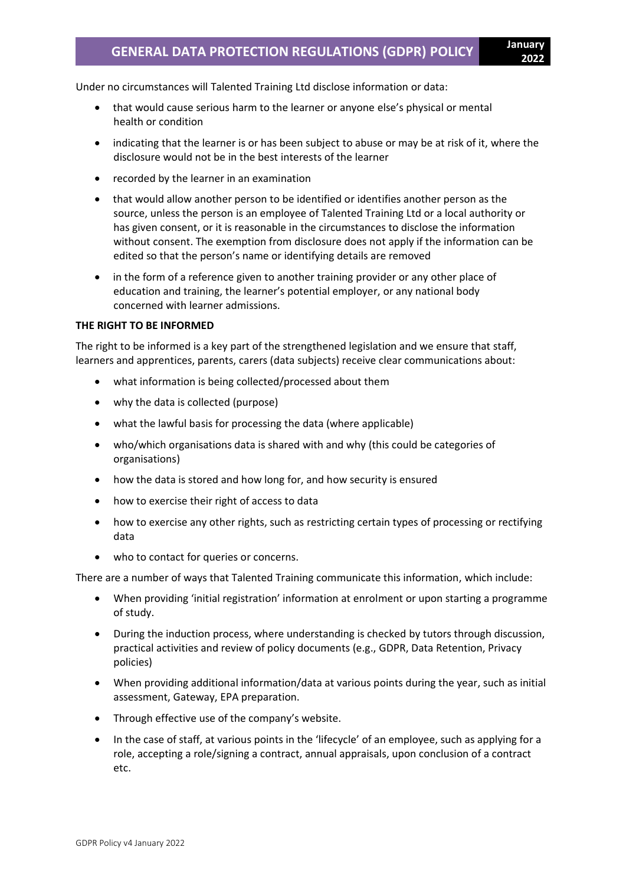Under no circumstances will Talented Training Ltd disclose information or data:

- that would cause serious harm to the learner or anyone else's physical or mental health or condition
- indicating that the learner is or has been subject to abuse or may be at risk of it, where the disclosure would not be in the best interests of the learner
- recorded by the learner in an examination
- that would allow another person to be identified or identifies another person as the source, unless the person is an employee of Talented Training Ltd or a local authority or has given consent, or it is reasonable in the circumstances to disclose the information without consent. The exemption from disclosure does not apply if the information can be edited so that the person's name or identifying details are removed
- in the form of a reference given to another training provider or any other place of education and training, the learner's potential employer, or any national body concerned with learner admissions.

#### **THE RIGHT TO BE INFORMED**

The right to be informed is a key part of the strengthened legislation and we ensure that staff, learners and apprentices, parents, carers (data subjects) receive clear communications about:

- what information is being collected/processed about them
- why the data is collected (purpose)
- what the lawful basis for processing the data (where applicable)
- who/which organisations data is shared with and why (this could be categories of organisations)
- how the data is stored and how long for, and how security is ensured
- how to exercise their right of access to data
- how to exercise any other rights, such as restricting certain types of processing or rectifying data
- who to contact for queries or concerns.

There are a number of ways that Talented Training communicate this information, which include:

- When providing 'initial registration' information at enrolment or upon starting a programme of study.
- During the induction process, where understanding is checked by tutors through discussion, practical activities and review of policy documents (e.g., GDPR, Data Retention, Privacy policies)
- When providing additional information/data at various points during the year, such as initial assessment, Gateway, EPA preparation.
- Through effective use of the company's website.
- In the case of staff, at various points in the 'lifecycle' of an employee, such as applying for a role, accepting a role/signing a contract, annual appraisals, upon conclusion of a contract etc.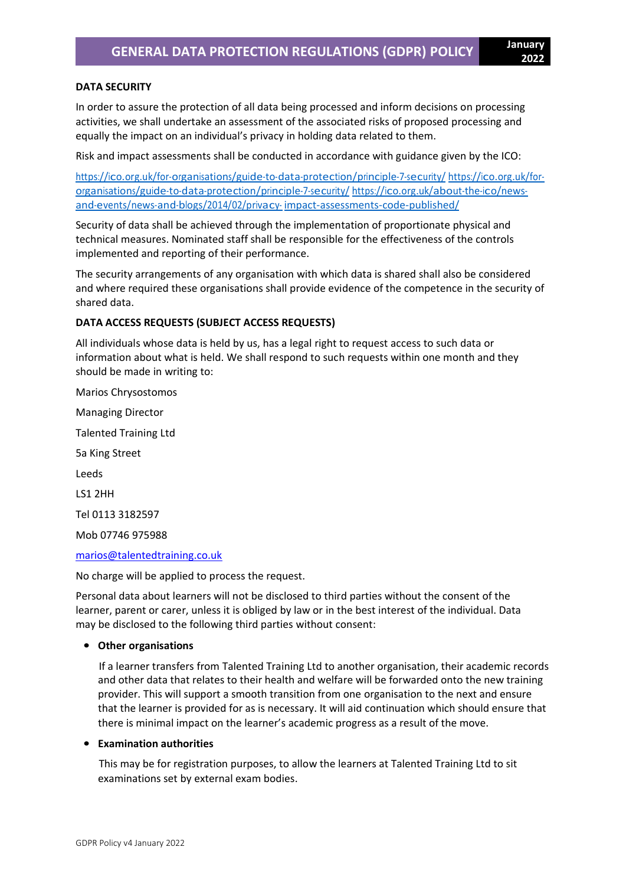#### **DATA SECURITY**

In order to assure the protection of all data being processed and inform decisions on processing activities, we shall undertake an assessment of the associated risks of proposed processing and equally the impact on an individual's privacy in holding data related to them.

Risk and impact assessments shall be conducted in accordance with guidance given by the ICO:

<https://ico.org.uk/for-organisations/guide-to-data-protection/principle-7-security/> [https://ico.org.uk/for](https://ico.org.uk/for-organisations/guide-to-data-protection/principle-7-security/)[organisations/guide-to-data-protection/principle-7-security/](https://ico.org.uk/for-organisations/guide-to-data-protection/principle-7-security/) [https://ico.org.uk/about-the-ico/news](https://ico.org.uk/about-the-ico/news-and-events/news-and-blogs/2014/02/privacy-impact-assessments-code-published/)[and-events/news-and-blogs/2014/02/privacy-](https://ico.org.uk/about-the-ico/news-and-events/news-and-blogs/2014/02/privacy-impact-assessments-code-published/) [impact-assessments-code-published/](https://ico.org.uk/about-the-ico/news-and-events/news-and-blogs/2014/02/privacy-impact-assessments-code-published/)

Security of data shall be achieved through the implementation of proportionate physical and technical measures. Nominated staff shall be responsible for the effectiveness of the controls implemented and reporting of their performance.

The security arrangements of any organisation with which data is shared shall also be considered and where required these organisations shall provide evidence of the competence in the security of shared data.

#### **DATA ACCESS REQUESTS (SUBJECT ACCESS REQUESTS)**

All individuals whose data is held by us, has a legal right to request access to such data or information about what is held. We shall respond to such requests within one month and they should be made in writing to:

Marios Chrysostomos Managing Director Talented Training Ltd 5a King Street Leeds LS1 2HH Tel 0113 3182597 Mob 07746 975988

[marios@talentedtraining.co.uk](mailto:marios@talentedtraining.co.uk)

No charge will be applied to process the request.

Personal data about learners will not be disclosed to third parties without the consent of the learner, parent or carer, unless it is obliged by law or in the best interest of the individual. Data may be disclosed to the following third parties without consent:

#### • **Other organisations**

 If a learner transfers from Talented Training Ltd to another organisation, their academic records and other data that relates to their health and welfare will be forwarded onto the new training provider. This will support a smooth transition from one organisation to the next and ensure that the learner is provided for as is necessary. It will aid continuation which should ensure that there is minimal impact on the learner's academic progress as a result of the move.

#### • **Examination authorities**

 This may be for registration purposes, to allow the learners at Talented Training Ltd to sit examinations set by external exam bodies.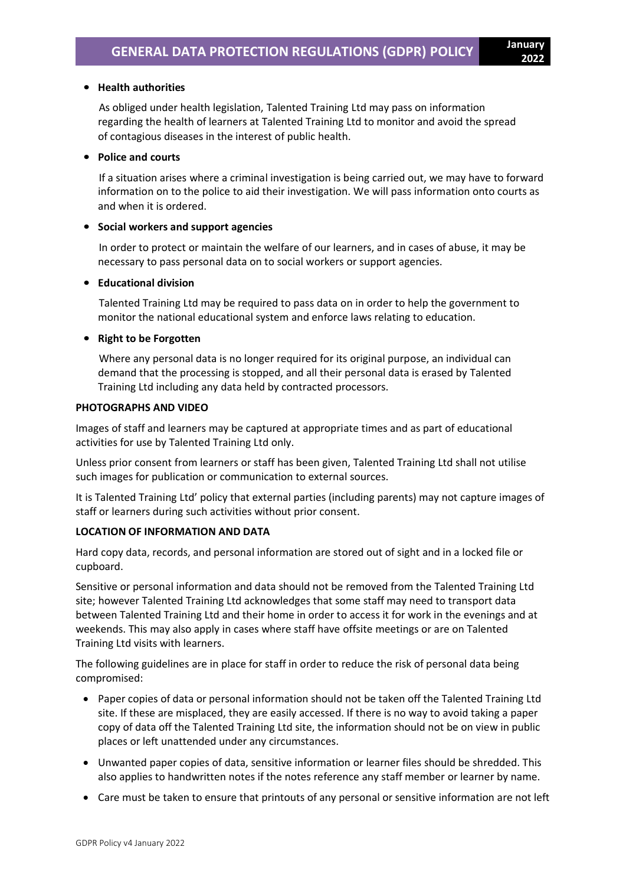## • **Health authorities**

 As obliged under health legislation, Talented Training Ltd may pass on information regarding the health of learners at Talented Training Ltd to monitor and avoid the spread of contagious diseases in the interest of public health.

#### • **Police and courts**

 If a situation arises where a criminal investigation is being carried out, we may have to forward information on to the police to aid their investigation. We will pass information onto courts as and when it is ordered.

#### • **Social workers and support agencies**

 In order to protect or maintain the welfare of our learners, and in cases of abuse, it may be necessary to pass personal data on to social workers or support agencies.

#### • **Educational division**

 Talented Training Ltd may be required to pass data on in order to help the government to monitor the national educational system and enforce laws relating to education.

#### • **Right to be Forgotten**

 Where any personal data is no longer required for its original purpose, an individual can demand that the processing is stopped, and all their personal data is erased by Talented Training Ltd including any data held by contracted processors.

#### **PHOTOGRAPHS AND VIDEO**

Images of staff and learners may be captured at appropriate times and as part of educational activities for use by Talented Training Ltd only.

Unless prior consent from learners or staff has been given, Talented Training Ltd shall not utilise such images for publication or communication to external sources.

It is Talented Training Ltd' policy that external parties (including parents) may not capture images of staff or learners during such activities without prior consent.

#### **LOCATION OF INFORMATION AND DATA**

Hard copy data, records, and personal information are stored out of sight and in a locked file or cupboard.

Sensitive or personal information and data should not be removed from the Talented Training Ltd site; however Talented Training Ltd acknowledges that some staff may need to transport data between Talented Training Ltd and their home in order to access it for work in the evenings and at weekends. This may also apply in cases where staff have offsite meetings or are on Talented Training Ltd visits with learners.

The following guidelines are in place for staff in order to reduce the risk of personal data being compromised:

- Paper copies of data or personal information should not be taken off the Talented Training Ltd site. If these are misplaced, they are easily accessed. If there is no way to avoid taking a paper copy of data off the Talented Training Ltd site, the information should not be on view in public places or left unattended under any circumstances.
- Unwanted paper copies of data, sensitive information or learner files should be shredded. This also applies to handwritten notes if the notes reference any staff member or learner by name.
- Care must be taken to ensure that printouts of any personal or sensitive information are not left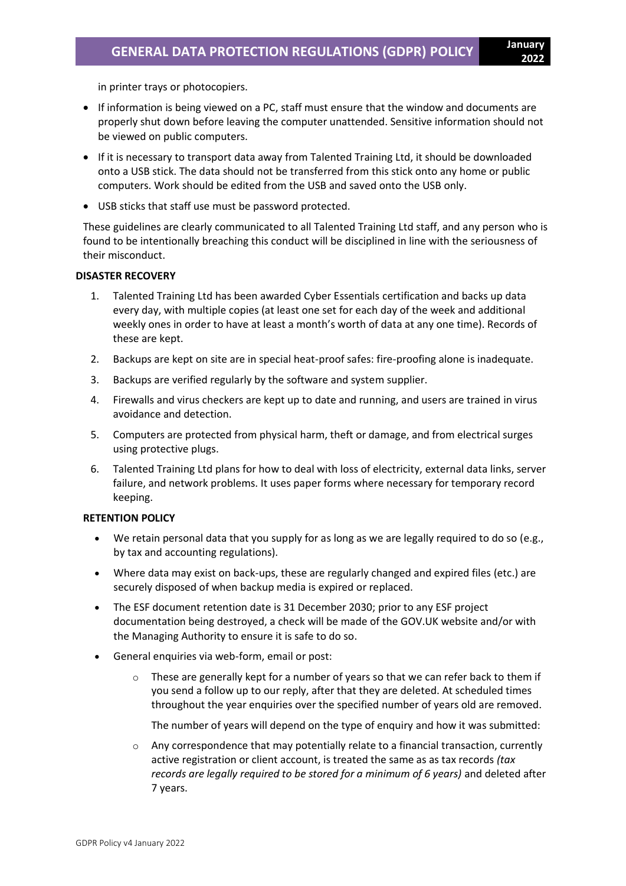in printer trays or photocopiers.

- If information is being viewed on a PC, staff must ensure that the window and documents are properly shut down before leaving the computer unattended. Sensitive information should not be viewed on public computers.
- If it is necessary to transport data away from Talented Training Ltd, it should be downloaded onto a USB stick. The data should not be transferred from this stick onto any home or public computers. Work should be edited from the USB and saved onto the USB only.
- USB sticks that staff use must be password protected.

These guidelines are clearly communicated to all Talented Training Ltd staff, and any person who is found to be intentionally breaching this conduct will be disciplined in line with the seriousness of their misconduct.

#### **DISASTER RECOVERY**

- 1. Talented Training Ltd has been awarded Cyber Essentials certification and backs up data every day, with multiple copies (at least one set for each day of the week and additional weekly ones in order to have at least a month's worth of data at any one time). Records of these are kept.
- 2. Backups are kept on site are in special heat-proof safes: fire-proofing alone is inadequate.
- 3. Backups are verified regularly by the software and system supplier.
- 4. Firewalls and virus checkers are kept up to date and running, and users are trained in virus avoidance and detection.
- 5. Computers are protected from physical harm, theft or damage, and from electrical surges using protective plugs.
- 6. Talented Training Ltd plans for how to deal with loss of electricity, external data links, server failure, and network problems. It uses paper forms where necessary for temporary record keeping.

#### **RETENTION POLICY**

- We retain personal data that you supply for as long as we are legally required to do so (e.g., by tax and accounting regulations).
- Where data may exist on back-ups, these are regularly changed and expired files (etc.) are securely disposed of when backup media is expired or replaced.
- The ESF document retention date is 31 December 2030; prior to any ESF project documentation being destroyed, a check will be made of the GOV.UK website and/or with the Managing Authority to ensure it is safe to do so.
- General enquiries via web-form, email or post:
	- $\circ$  These are generally kept for a number of years so that we can refer back to them if you send a follow up to our reply, after that they are deleted. At scheduled times throughout the year enquiries over the specified number of years old are removed.

The number of years will depend on the type of enquiry and how it was submitted:

 $\circ$  Any correspondence that may potentially relate to a financial transaction, currently active registration or client account, is treated the same as as tax records *(tax records are legally required to be stored for a minimum of 6 years)* and deleted after 7 years.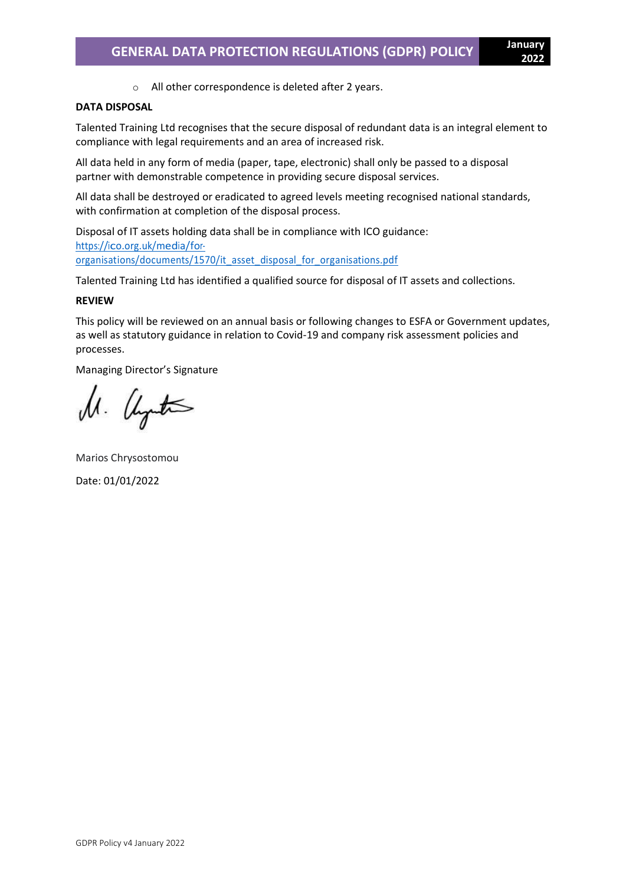o All other correspondence is deleted after 2 years.

#### **DATA DISPOSAL**

Talented Training Ltd recognises that the secure disposal of redundant data is an integral element to compliance with legal requirements and an area of increased risk.

All data held in any form of media (paper, tape, electronic) shall only be passed to a disposal partner with demonstrable competence in providing secure disposal services.

All data shall be destroyed or eradicated to agreed levels meeting recognised national standards, with confirmation at completion of the disposal process.

Disposal of IT assets holding data shall be in compliance with ICO guidance: [https://ico.org.uk/media/for](https://ico.org.uk/media/for-organisations/documents/1570/it_asset_disposal_for_organisations.pdf)[organisations/documents/1570/it\\_asset\\_disposal\\_for\\_organisations.pdf](https://ico.org.uk/media/for-organisations/documents/1570/it_asset_disposal_for_organisations.pdf)

Talented Training Ltd has identified a qualified source for disposal of IT assets and collections.

#### **REVIEW**

This policy will be reviewed on an annual basis or following changes to ESFA or Government updates, as well as statutory guidance in relation to Covid-19 and company risk assessment policies and processes.

Managing Director's Signature

U. Uyuta

Marios Chrysostomou Date: 01/01/2022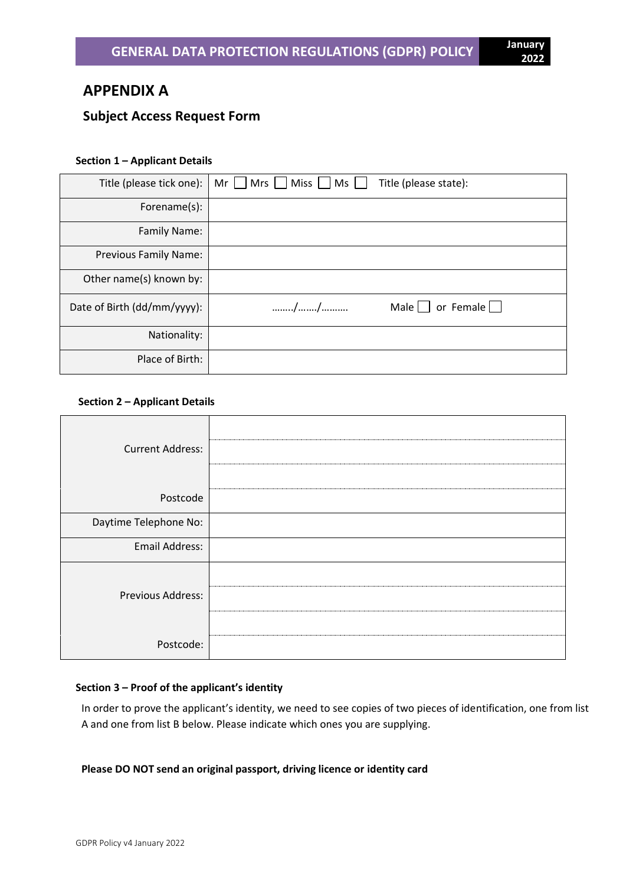# **APPENDIX A**

## **Subject Access Request Form**

#### **Section 1 – Applicant Details**

| Title (please tick one):    | Mrs     Miss    <br>$Ms$   <br>Title (please state):<br>Mr $\parallel$ |
|-----------------------------|------------------------------------------------------------------------|
| Forename(s):                |                                                                        |
| Family Name:                |                                                                        |
| Previous Family Name:       |                                                                        |
| Other name(s) known by:     |                                                                        |
| Date of Birth (dd/mm/yyyy): | Male $\Box$<br>or Female $\Box$<br>//                                  |
| Nationality:                |                                                                        |
| Place of Birth:             |                                                                        |

#### **Section 2 – Applicant Details**

| <b>Current Address:</b> |  |
|-------------------------|--|
|                         |  |
| Postcode                |  |
| Daytime Telephone No:   |  |
| <b>Email Address:</b>   |  |
|                         |  |
| Previous Address:       |  |
|                         |  |
| Postcode:               |  |

#### **Section 3 – Proof of the applicant's identity**

In order to prove the applicant's identity, we need to see copies of two pieces of identification, one from list A and one from list B below. Please indicate which ones you are supplying.

#### **Please DO NOT send an original passport, driving licence or identity card**